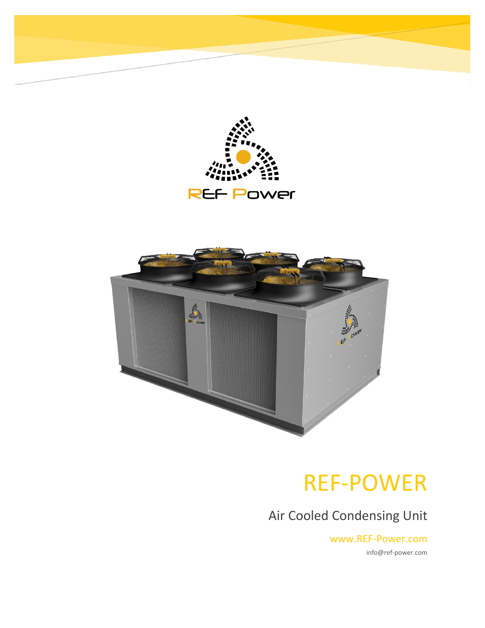



# REF-POWER

Air Cooled Condensing Unit

www.REF-Power.com info@ref-power.com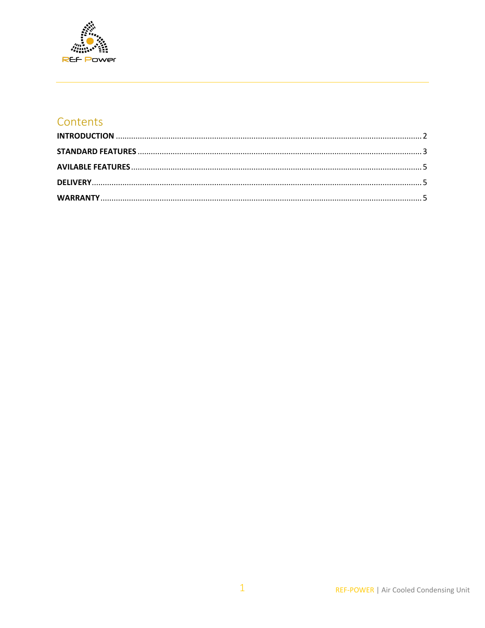

## Contents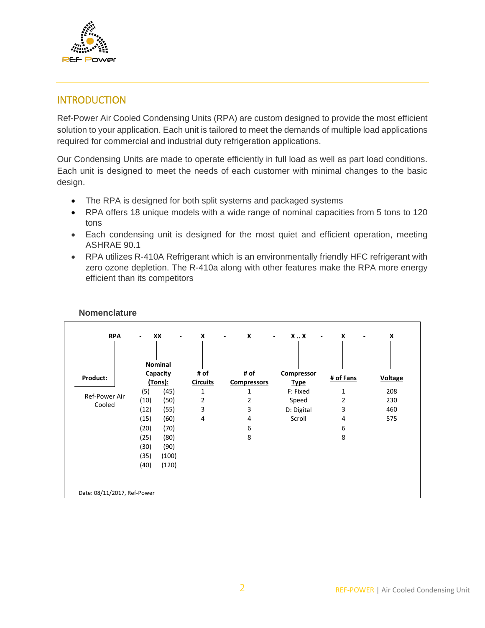

## <span id="page-2-0"></span>**INTRODUCTION**

Ref-Power Air Cooled Condensing Units (RPA) are custom designed to provide the most efficient solution to your application. Each unit is tailored to meet the demands of multiple load applications required for commercial and industrial duty refrigeration applications.

Our Condensing Units are made to operate efficiently in full load as well as part load conditions. Each unit is designed to meet the needs of each customer with minimal changes to the basic design.

- The RPA is designed for both split systems and packaged systems
- RPA offers 18 unique models with a wide range of nominal capacities from 5 tons to 120 tons
- Each condensing unit is designed for the most quiet and efficient operation, meeting ASHRAE 90.1
- RPA utilizes R-410A Refrigerant which is an environmentally friendly HFC refrigerant with zero ozone depletion. The R-410a along with other features make the RPA more energy efficient than its competitors

|                             |          | <b>Nominal</b> |                 |                    |             |           |                |
|-----------------------------|----------|----------------|-----------------|--------------------|-------------|-----------|----------------|
| Product:                    | Capacity |                | # of            | # of               | Compressor  | # of Fans | <b>Voltage</b> |
|                             |          | (Tons):        | <b>Circuits</b> | <b>Compressors</b> | <b>Type</b> |           |                |
| Ref-Power Air               | (5)      | (45)           | 1               | 1                  | F: Fixed    | 1         | 208            |
|                             | (10)     | (50)           | 2               | 2                  | Speed       | 2         | 230            |
| Cooled                      | (12)     | (55)           | 3               | 3                  | D: Digital  | 3         | 460            |
|                             | (15)     | (60)           | 4               | 4                  | Scroll      | 4         | 575            |
|                             | (20)     | (70)           |                 | 6                  |             | 6         |                |
|                             | (25)     | (80)           |                 | 8                  |             | 8         |                |
|                             | (30)     | (90)           |                 |                    |             |           |                |
|                             | (35)     | (100)          |                 |                    |             |           |                |
|                             | (40)     | (120)          |                 |                    |             |           |                |
| Date: 08/11/2017, Ref-Power |          |                |                 |                    |             |           |                |

#### **Nomenclature**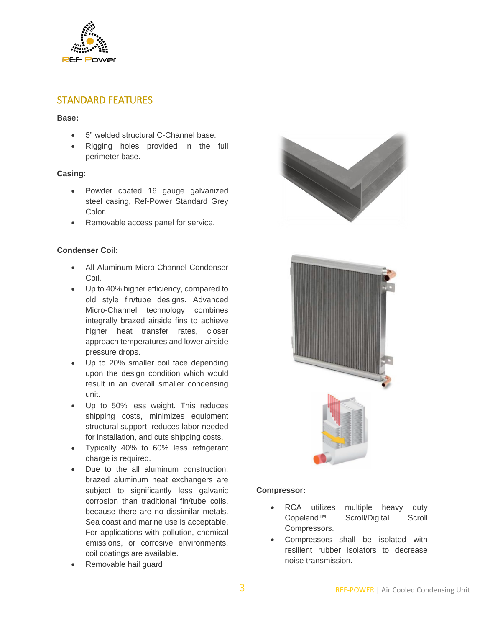

## <span id="page-3-0"></span>STANDARD FEATURES

#### **Base:**

- 5" welded structural C-Channel base.
- Rigging holes provided in the full perimeter base.

#### **Casing:**

- Powder coated 16 gauge galvanized steel casing, Ref-Power Standard Grey Color.
- Removable access panel for service.

#### **Condenser Coil:**

- All Aluminum Micro-Channel Condenser Coil.
- Up to 40% higher efficiency, compared to old style fin/tube designs. Advanced Micro-Channel technology combines integrally brazed airside fins to achieve higher heat transfer rates, closer approach temperatures and lower airside pressure drops.
- Up to 20% smaller coil face depending upon the design condition which would result in an overall smaller condensing unit.
- Up to 50% less weight. This reduces shipping costs, minimizes equipment structural support, reduces labor needed for installation, and cuts shipping costs.
- Typically 40% to 60% less refrigerant charge is required.
- Due to the all aluminum construction, brazed aluminum heat exchangers are subject to significantly less galvanic corrosion than traditional fin/tube coils, because there are no dissimilar metals. Sea coast and marine use is acceptable. For applications with pollution, chemical emissions, or corrosive environments, coil coatings are available.
- Removable hail guard





#### **Compressor:**

- RCA utilizes multiple heavy duty Copeland™ Scroll/Digital Scroll Compressors.
- Compressors shall be isolated with resilient rubber isolators to decrease noise transmission.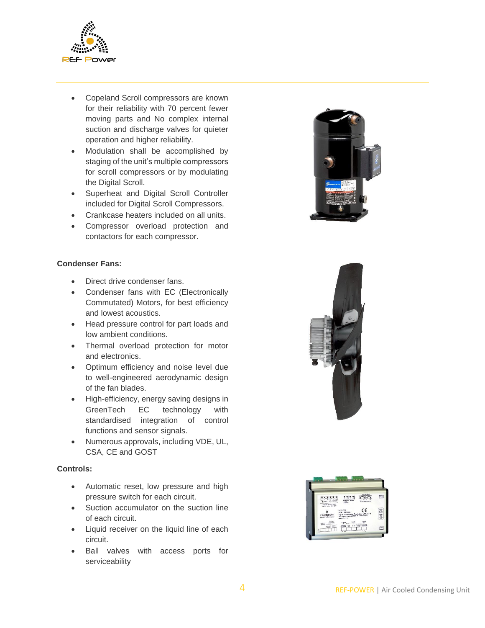

- Copeland Scroll compressors are known for their reliability with 70 percent fewer moving parts and No complex internal suction and discharge valves for quieter operation and higher reliability.
- Modulation shall be accomplished by staging of the unit's multiple compressors for scroll compressors or by modulating the Digital Scroll.
- Superheat and Digital Scroll Controller included for Digital Scroll Compressors.
- Crankcase heaters included on all units.
- Compressor overload protection and contactors for each compressor.

#### **Condenser Fans:**

- Direct drive condenser fans.
- Condenser fans with EC (Electronically Commutated) Motors, for best efficiency and lowest acoustics.
- Head pressure control for part loads and low ambient conditions.
- Thermal overload protection for motor and electronics.
- Optimum efficiency and noise level due to well-engineered aerodynamic design of the fan blades.
- High-efficiency, energy saving designs in GreenTech EC technology with standardised integration of control functions and sensor signals.
- Numerous approvals, including VDE, UL, CSA, CE and GOST

#### **Controls:**

- Automatic reset, low pressure and high pressure switch for each circuit.
- Suction accumulator on the suction line of each circuit.
- Liquid receiver on the liquid line of each circuit.
- Ball valves with access ports for serviceability





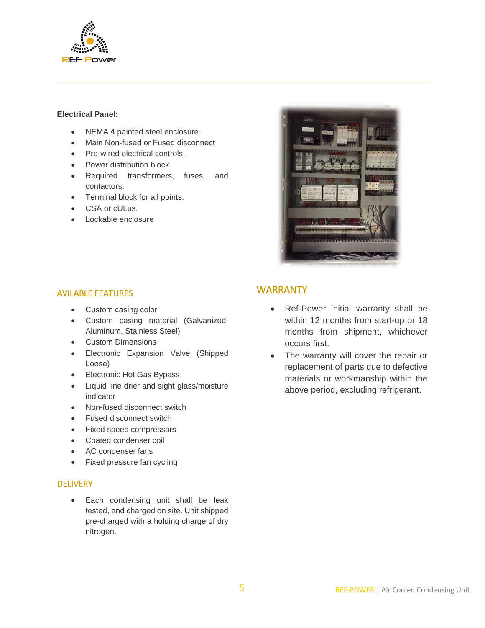

#### **Electrical Panel:**

- NEMA 4 painted steel enclosure.
- Main Non-fused or Fused disconnect
- Pre-wired electrical controls.
- Power distribution block.
- Required transformers, fuses, and contactors.
- Terminal block for all points.
- CSA or cULus.
- Lockable enclosure

<span id="page-5-2"></span>

### <span id="page-5-0"></span>AVILABLE FEATURES

- Custom casing color
- Custom casing material (Galvanized, Aluminum, Stainless Steel)
- Custom Dimensions
- Electronic Expansion Valve (Shipped Loose)
- Electronic Hot Gas Bypass
- Liquid line drier and sight glass/moisture indicator
- Non-fused disconnect switch
- Fused disconnect switch
- Fixed speed compressors
- Coated condenser coil
- AC condenser fans
- Fixed pressure fan cycling

#### <span id="page-5-1"></span>**DELIVERY**

 Each condensing unit shall be leak tested, and charged on site. Unit shipped pre-charged with a holding charge of dry nitrogen.

## **WARRANTY**

- Ref-Power initial warranty shall be within 12 months from start-up or 18 months from shipment, whichever occurs first.
- The warranty will cover the repair or replacement of parts due to defective materials or workmanship within the above period, excluding refrigerant.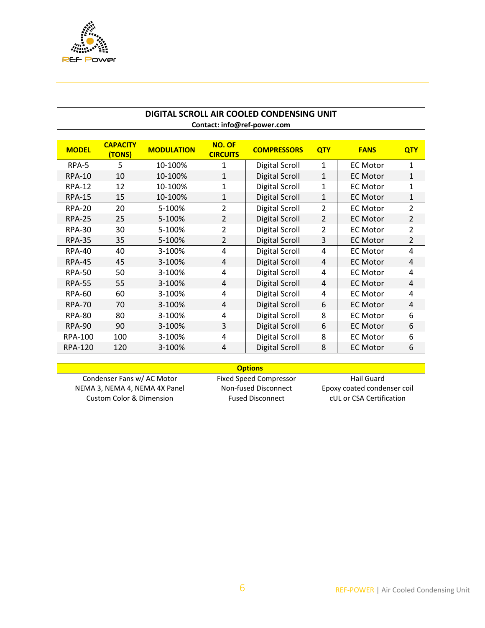

#### **DIGITAL SCROLL AIR COOLED CONDENSING UNIT Contact: info@ref-power.com**

| <b>MODEL</b>   | <b>CAPACITY</b><br>(TONS) | <b>MODULATION</b> | <b>NO. OF</b><br><b>CIRCUITS</b> | <b>COMPRESSORS</b>    | <b>QTY</b>     | <b>FANS</b>     | <b>QTY</b>     |
|----------------|---------------------------|-------------------|----------------------------------|-----------------------|----------------|-----------------|----------------|
| RPA-5          | 5                         | 10-100%           | 1                                | Digital Scroll        | 1              | <b>EC Motor</b> | $\mathbf{1}$   |
| <b>RPA-10</b>  | 10                        | 10-100%           | $\mathbf{1}$                     | Digital Scroll        | 1              | <b>EC Motor</b> | $\mathbf{1}$   |
| <b>RPA-12</b>  | 12                        | 10-100%           | 1                                | <b>Digital Scroll</b> | 1              | <b>EC Motor</b> | $\mathbf{1}$   |
| <b>RPA-15</b>  | 15                        | 10-100%           | 1                                | Digital Scroll        | 1              | <b>EC Motor</b> | $\mathbf{1}$   |
| <b>RPA-20</b>  | 20                        | 5-100%            | $\overline{2}$                   | Digital Scroll        | $\overline{2}$ | <b>EC Motor</b> | $\overline{2}$ |
| <b>RPA-25</b>  | 25                        | 5-100%            | $\overline{2}$                   | <b>Digital Scroll</b> | $\overline{2}$ | <b>EC Motor</b> | $\overline{2}$ |
| <b>RPA-30</b>  | 30                        | 5-100%            | $\overline{2}$                   | Digital Scroll        | $\overline{2}$ | <b>EC Motor</b> | $\overline{2}$ |
| <b>RPA-35</b>  | 35                        | 5-100%            | 2                                | Digital Scroll        | 3              | <b>EC Motor</b> | $\overline{2}$ |
| <b>RPA-40</b>  | 40                        | 3-100%            | 4                                | Digital Scroll        | 4              | <b>EC Motor</b> | 4              |
| <b>RPA-45</b>  | 45                        | 3-100%            | 4                                | Digital Scroll        | 4              | <b>EC Motor</b> | 4              |
| <b>RPA-50</b>  | 50                        | 3-100%            | 4                                | Digital Scroll        | 4              | <b>EC Motor</b> | 4              |
| <b>RPA-55</b>  | 55                        | 3-100%            | 4                                | <b>Digital Scroll</b> | 4              | <b>EC Motor</b> | 4              |
| <b>RPA-60</b>  | 60                        | 3-100%            | 4                                | <b>Digital Scroll</b> | 4              | <b>EC Motor</b> | 4              |
| <b>RPA-70</b>  | 70                        | 3-100%            | 4                                | Digital Scroll        | 6              | <b>EC Motor</b> | 4              |
| <b>RPA-80</b>  | 80                        | 3-100%            | 4                                | Digital Scroll        | 8              | <b>EC Motor</b> | 6              |
| <b>RPA-90</b>  | 90                        | 3-100%            | 3                                | Digital Scroll        | 6              | <b>EC Motor</b> | 6              |
| <b>RPA-100</b> | 100                       | 3-100%            | 4                                | <b>Digital Scroll</b> | 8              | <b>EC Motor</b> | 6              |
| <b>RPA-120</b> | 120                       | 3-100%            | 4                                | <b>Digital Scroll</b> | 8              | <b>EC Motor</b> | 6              |

| <b>Options</b>                      |                         |                             |  |  |
|-------------------------------------|-------------------------|-----------------------------|--|--|
| Condenser Fans w/ AC Motor          | Fixed Speed Compressor  | Hail Guard                  |  |  |
| NEMA 3, NEMA 4, NEMA 4X Panel       | Non-fused Disconnect    | Epoxy coated condenser coil |  |  |
| <b>Custom Color &amp; Dimension</b> | <b>Fused Disconnect</b> | cUL or CSA Certification    |  |  |
|                                     |                         |                             |  |  |